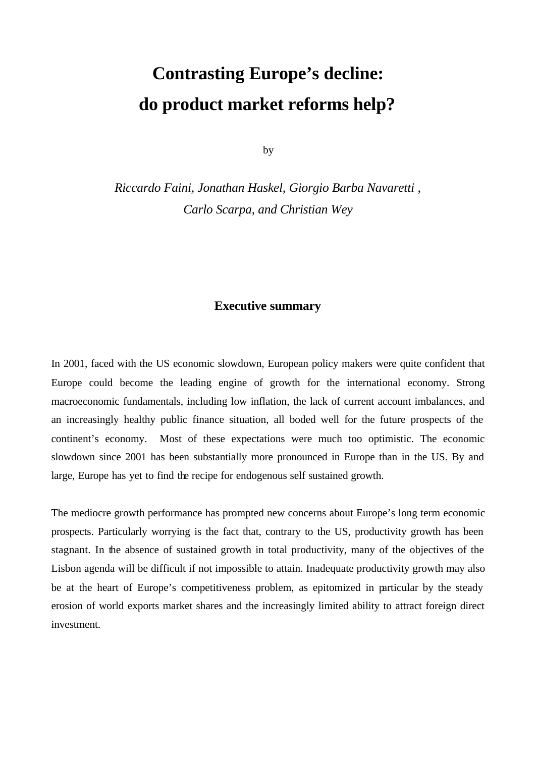# **Contrasting Europe's decline: do product market reforms help?**

by

*Riccardo Faini, Jonathan Haskel, Giorgio Barba Navaretti , Carlo Scarpa, and Christian Wey*

## **Executive summary**

In 2001, faced with the US economic slowdown, European policy makers were quite confident that Europe could become the leading engine of growth for the international economy. Strong macroeconomic fundamentals, including low inflation, the lack of current account imbalances, and an increasingly healthy public finance situation, all boded well for the future prospects of the continent's economy. Most of these expectations were much too optimistic. The economic slowdown since 2001 has been substantially more pronounced in Europe than in the US. By and large, Europe has yet to find the recipe for endogenous self sustained growth.

The mediocre growth performance has prompted new concerns about Europe's long term economic prospects. Particularly worrying is the fact that, contrary to the US, productivity growth has been stagnant. In the absence of sustained growth in total productivity, many of the objectives of the Lisbon agenda will be difficult if not impossible to attain. Inadequate productivity growth may also be at the heart of Europe's competitiveness problem, as epitomized in particular by the steady erosion of world exports market shares and the increasingly limited ability to attract foreign direct investment.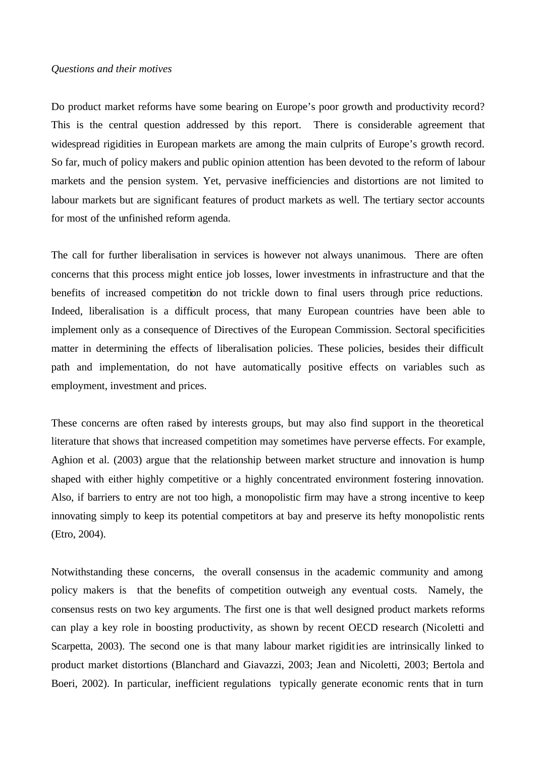### *Questions and their motives*

Do product market reforms have some bearing on Europe's poor growth and productivity record? This is the central question addressed by this report. There is considerable agreement that widespread rigidities in European markets are among the main culprits of Europe's growth record. So far, much of policy makers and public opinion attention has been devoted to the reform of labour markets and the pension system. Yet, pervasive inefficiencies and distortions are not limited to labour markets but are significant features of product markets as well. The tertiary sector accounts for most of the unfinished reform agenda.

The call for further liberalisation in services is however not always unanimous. There are often concerns that this process might entice job losses, lower investments in infrastructure and that the benefits of increased competition do not trickle down to final users through price reductions. Indeed, liberalisation is a difficult process, that many European countries have been able to implement only as a consequence of Directives of the European Commission. Sectoral specificities matter in determining the effects of liberalisation policies. These policies, besides their difficult path and implementation, do not have automatically positive effects on variables such as employment, investment and prices.

These concerns are often raised by interests groups, but may also find support in the theoretical literature that shows that increased competition may sometimes have perverse effects. For example, Aghion et al. (2003) argue that the relationship between market structure and innovation is hump shaped with either highly competitive or a highly concentrated environment fostering innovation. Also, if barriers to entry are not too high, a monopolistic firm may have a strong incentive to keep innovating simply to keep its potential competitors at bay and preserve its hefty monopolistic rents (Etro, 2004).

Notwithstanding these concerns, the overall consensus in the academic community and among policy makers is that the benefits of competition outweigh any eventual costs. Namely, the consensus rests on two key arguments. The first one is that well designed product markets reforms can play a key role in boosting productivity, as shown by recent OECD research (Nicoletti and Scarpetta, 2003). The second one is that many labour market rigidities are intrinsically linked to product market distortions (Blanchard and Giavazzi, 2003; Jean and Nicoletti, 2003; Bertola and Boeri, 2002). In particular, inefficient regulations typically generate economic rents that in turn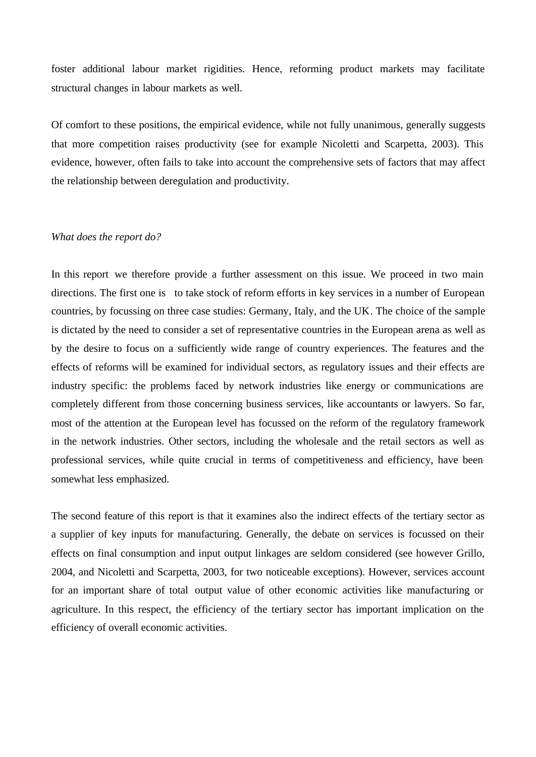foster additional labour market rigidities. Hence, reforming product markets may facilitate structural changes in labour markets as well.

Of comfort to these positions, the empirical evidence, while not fully unanimous, generally suggests that more competition raises productivity (see for example Nicoletti and Scarpetta, 2003). This evidence, however, often fails to take into account the comprehensive sets of factors that may affect the relationship between deregulation and productivity.

#### *What does the report do?*

In this report we therefore provide a further assessment on this issue. We proceed in two main directions. The first one is to take stock of reform efforts in key services in a number of European countries, by focussing on three case studies: Germany, Italy, and the UK. The choice of the sample is dictated by the need to consider a set of representative countries in the European arena as well as by the desire to focus on a sufficiently wide range of country experiences. The features and the effects of reforms will be examined for individual sectors, as regulatory issues and their effects are industry specific: the problems faced by network industries like energy or communications are completely different from those concerning business services, like accountants or lawyers. So far, most of the attention at the European level has focussed on the reform of the regulatory framework in the network industries. Other sectors, including the wholesale and the retail sectors as well as professional services, while quite crucial in terms of competitiveness and efficiency, have been somewhat less emphasized.

The second feature of this report is that it examines also the indirect effects of the tertiary sector as a supplier of key inputs for manufacturing. Generally, the debate on services is focussed on their effects on final consumption and input output linkages are seldom considered (see however Grillo, 2004, and Nicoletti and Scarpetta, 2003, for two noticeable exceptions). However, services account for an important share of total output value of other economic activities like manufacturing or agriculture. In this respect, the efficiency of the tertiary sector has important implication on the efficiency of overall economic activities.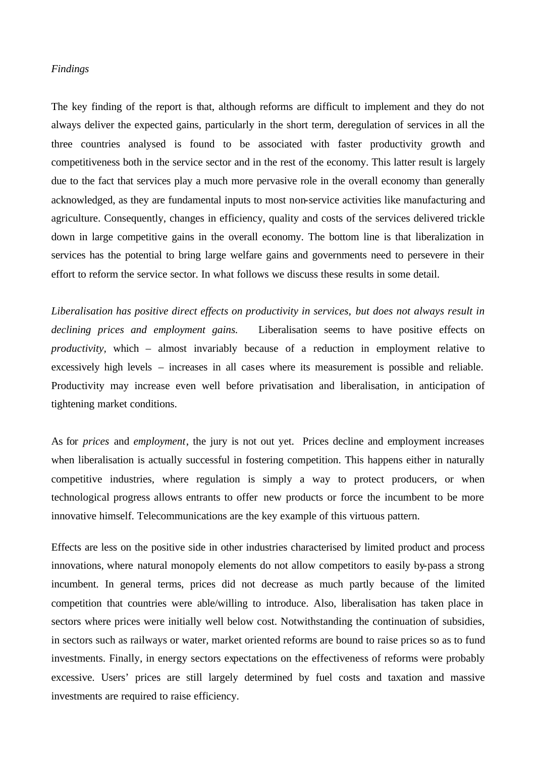## *Findings*

The key finding of the report is that, although reforms are difficult to implement and they do not always deliver the expected gains, particularly in the short term, deregulation of services in all the three countries analysed is found to be associated with faster productivity growth and competitiveness both in the service sector and in the rest of the economy. This latter result is largely due to the fact that services play a much more pervasive role in the overall economy than generally acknowledged, as they are fundamental inputs to most non-service activities like manufacturing and agriculture. Consequently, changes in efficiency, quality and costs of the services delivered trickle down in large competitive gains in the overall economy. The bottom line is that liberalization in services has the potential to bring large welfare gains and governments need to persevere in their effort to reform the service sector. In what follows we discuss these results in some detail.

*Liberalisation has positive direct effects on productivity in services, but does not always result in declining prices and employment gains.* Liberalisation seems to have positive effects on *productivity,* which – almost invariably because of a reduction in employment relative to excessively high levels – increases in all cases where its measurement is possible and reliable. Productivity may increase even well before privatisation and liberalisation, in anticipation of tightening market conditions.

As for *prices* and *employment*, the jury is not out yet. Prices decline and employment increases when liberalisation is actually successful in fostering competition. This happens either in naturally competitive industries, where regulation is simply a way to protect producers, or when technological progress allows entrants to offer new products or force the incumbent to be more innovative himself. Telecommunications are the key example of this virtuous pattern.

Effects are less on the positive side in other industries characterised by limited product and process innovations, where natural monopoly elements do not allow competitors to easily by-pass a strong incumbent. In general terms, prices did not decrease as much partly because of the limited competition that countries were able/willing to introduce. Also, liberalisation has taken place in sectors where prices were initially well below cost. Notwithstanding the continuation of subsidies, in sectors such as railways or water, market oriented reforms are bound to raise prices so as to fund investments. Finally, in energy sectors expectations on the effectiveness of reforms were probably excessive. Users' prices are still largely determined by fuel costs and taxation and massive investments are required to raise efficiency.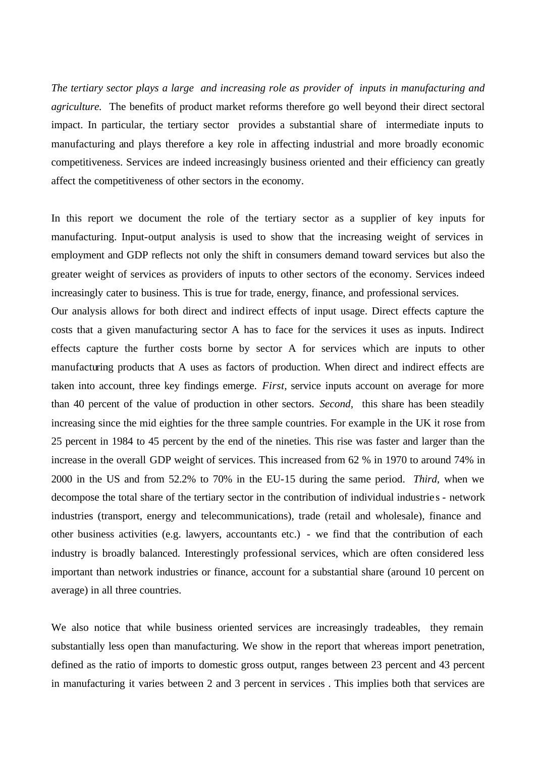*The tertiary sector plays a large and increasing role as provider of inputs in manufacturing and agriculture.* The benefits of product market reforms therefore go well beyond their direct sectoral impact. In particular, the tertiary sector provides a substantial share of intermediate inputs to manufacturing and plays therefore a key role in affecting industrial and more broadly economic competitiveness. Services are indeed increasingly business oriented and their efficiency can greatly affect the competitiveness of other sectors in the economy.

In this report we document the role of the tertiary sector as a supplier of key inputs for manufacturing. Input-output analysis is used to show that the increasing weight of services in employment and GDP reflects not only the shift in consumers demand toward services but also the greater weight of services as providers of inputs to other sectors of the economy. Services indeed increasingly cater to business. This is true for trade, energy, finance, and professional services.

Our analysis allows for both direct and indirect effects of input usage. Direct effects capture the costs that a given manufacturing sector A has to face for the services it uses as inputs. Indirect effects capture the further costs borne by sector A for services which are inputs to other manufacturing products that A uses as factors of production. When direct and indirect effects are taken into account, three key findings emerge. *First,* service inputs account on average for more than 40 percent of the value of production in other sectors. *Second,* this share has been steadily increasing since the mid eighties for the three sample countries. For example in the UK it rose from 25 percent in 1984 to 45 percent by the end of the nineties. This rise was faster and larger than the increase in the overall GDP weight of services. This increased from 62 % in 1970 to around 74% in 2000 in the US and from 52.2% to 70% in the EU-15 during the same period. *Third,* when we decompose the total share of the tertiary sector in the contribution of individual industrie s - network industries (transport, energy and telecommunications), trade (retail and wholesale), finance and other business activities (e.g. lawyers, accountants etc.) - we find that the contribution of each industry is broadly balanced. Interestingly professional services, which are often considered less important than network industries or finance, account for a substantial share (around 10 percent on average) in all three countries.

We also notice that while business oriented services are increasingly tradeables, they remain substantially less open than manufacturing. We show in the report that whereas import penetration, defined as the ratio of imports to domestic gross output, ranges between 23 percent and 43 percent in manufacturing it varies between 2 and 3 percent in services . This implies both that services are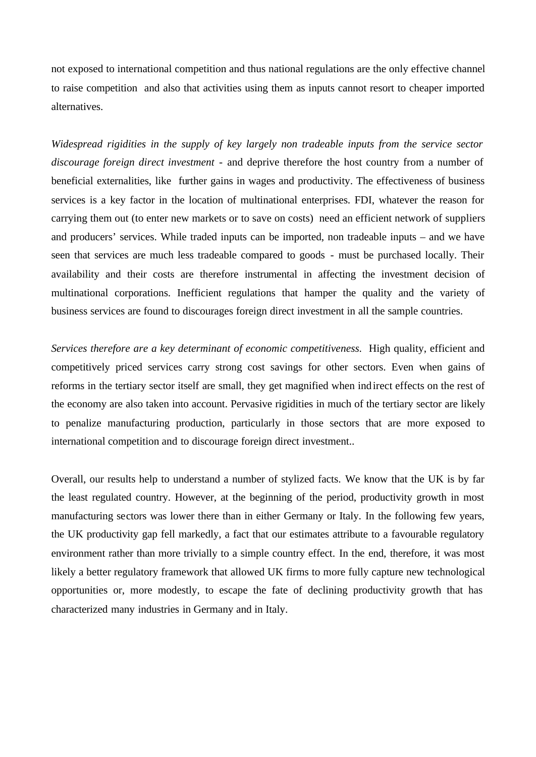not exposed to international competition and thus national regulations are the only effective channel to raise competition and also that activities using them as inputs cannot resort to cheaper imported alternatives.

*Widespread rigidities in the supply of key largely non tradeable inputs from the service sector discourage foreign direct investment* - and deprive therefore the host country from a number of beneficial externalities, like further gains in wages and productivity. The effectiveness of business services is a key factor in the location of multinational enterprises. FDI, whatever the reason for carrying them out (to enter new markets or to save on costs) need an efficient network of suppliers and producers' services. While traded inputs can be imported, non tradeable inputs – and we have seen that services are much less tradeable compared to goods - must be purchased locally. Their availability and their costs are therefore instrumental in affecting the investment decision of multinational corporations. Inefficient regulations that hamper the quality and the variety of business services are found to discourages foreign direct investment in all the sample countries.

*Services therefore are a key determinant of economic competitiveness.* High quality, efficient and competitively priced services carry strong cost savings for other sectors. Even when gains of reforms in the tertiary sector itself are small, they get magnified when indirect effects on the rest of the economy are also taken into account. Pervasive rigidities in much of the tertiary sector are likely to penalize manufacturing production, particularly in those sectors that are more exposed to international competition and to discourage foreign direct investment..

Overall, our results help to understand a number of stylized facts. We know that the UK is by far the least regulated country. However, at the beginning of the period, productivity growth in most manufacturing sectors was lower there than in either Germany or Italy. In the following few years, the UK productivity gap fell markedly, a fact that our estimates attribute to a favourable regulatory environment rather than more trivially to a simple country effect. In the end, therefore, it was most likely a better regulatory framework that allowed UK firms to more fully capture new technological opportunities or, more modestly, to escape the fate of declining productivity growth that has characterized many industries in Germany and in Italy.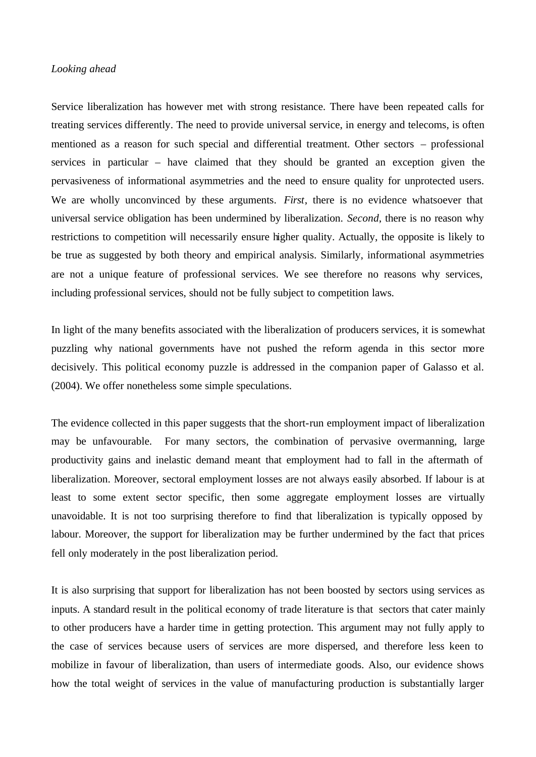## *Looking ahead*

Service liberalization has however met with strong resistance. There have been repeated calls for treating services differently. The need to provide universal service, in energy and telecoms, is often mentioned as a reason for such special and differential treatment. Other sectors – professional services in particular – have claimed that they should be granted an exception given the pervasiveness of informational asymmetries and the need to ensure quality for unprotected users. We are wholly unconvinced by these arguments. *First*, there is no evidence whatsoever that universal service obligation has been undermined by liberalization. *Second*, there is no reason why restrictions to competition will necessarily ensure higher quality. Actually, the opposite is likely to be true as suggested by both theory and empirical analysis. Similarly, informational asymmetries are not a unique feature of professional services. We see therefore no reasons why services, including professional services, should not be fully subject to competition laws.

In light of the many benefits associated with the liberalization of producers services, it is somewhat puzzling why national governments have not pushed the reform agenda in this sector more decisively. This political economy puzzle is addressed in the companion paper of Galasso et al. (2004). We offer nonetheless some simple speculations.

The evidence collected in this paper suggests that the short-run employment impact of liberalization may be unfavourable. For many sectors, the combination of pervasive overmanning, large productivity gains and inelastic demand meant that employment had to fall in the aftermath of liberalization. Moreover, sectoral employment losses are not always easily absorbed. If labour is at least to some extent sector specific, then some aggregate employment losses are virtually unavoidable. It is not too surprising therefore to find that liberalization is typically opposed by labour. Moreover, the support for liberalization may be further undermined by the fact that prices fell only moderately in the post liberalization period.

It is also surprising that support for liberalization has not been boosted by sectors using services as inputs. A standard result in the political economy of trade literature is that sectors that cater mainly to other producers have a harder time in getting protection. This argument may not fully apply to the case of services because users of services are more dispersed, and therefore less keen to mobilize in favour of liberalization, than users of intermediate goods. Also, our evidence shows how the total weight of services in the value of manufacturing production is substantially larger